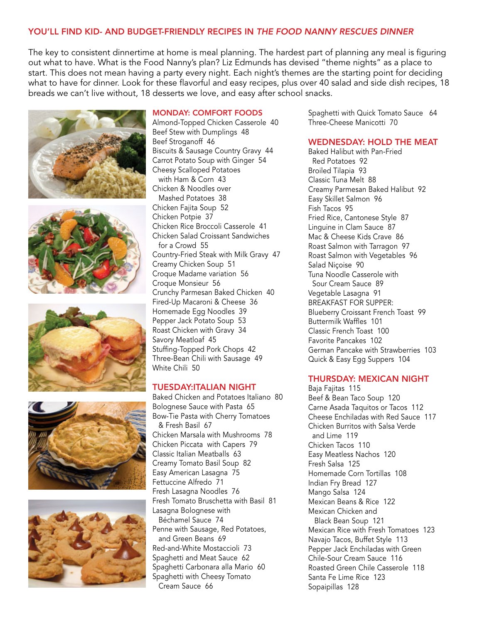# YOU'LL FIND KID- AND BUDGET-FRIENDLY RECIPES IN *THE FOOD NANNY RESCUES DINNER*

The key to consistent dinnertime at home is meal planning. The hardest part of planning any meal is figuring out what to have. What is the Food Nanny's plan? Liz Edmunds has devised "theme nights" as a place to start. This does not mean having a party every night. Each night's themes are the starting point for deciding what to have for dinner. Look for these flavorful and easy recipes, plus over 40 salad and side dish recipes, 18 breads we can't live without, 18 desserts we love, and easy after school snacks.











#### MONDAY: COMFORT FOODS

Almond-Topped Chicken Casserole 40 Beef Stew with Dumplings 48 Beef Stroganoff 46 Biscuits & Sausage Country Gravy 44 Carrot Potato Soup with Ginger 54 Cheesy Scalloped Potatoes with Ham & Corn 43 Chicken & Noodles over Mashed Potatoes 38 Chicken Fajita Soup 52 Chicken Potpie 37 Chicken Rice Broccoli Casserole 41 Chicken Salad Croissant Sandwiches for a Crowd 55 Country-Fried Steak with Milk Gravy 47 Creamy Chicken Soup 51 Croque Madame variation 56 Croque Monsieur 56 Crunchy Parmesan Baked Chicken 40 Fired-Up Macaroni & Cheese 36 Homemade Egg Noodles 39 Pepper Jack Potato Soup 53 Roast Chicken with Gravy 34 Savory Meatloaf 45 Stuffing-Topped Pork Chops 42 Three-Bean Chili with Sausage 49 White Chili 50

#### TUESDAY:ITALIAN NIGHT

Baked Chicken and Potatoes Italiano 80 Bolognese Sauce with Pasta 65 Bow-Tie Pasta with Cherry Tomatoes & Fresh Basil 67 Chicken Marsala with Mushrooms 78 Chicken Piccata with Capers 79 Classic Italian Meatballs 63 Creamy Tomato Basil Soup 82 Easy American Lasagna 75 Fettuccine Alfredo 71 Fresh Lasagna Noodles 76 Fresh Tomato Bruschetta with Basil 81 Lasagna Bolognese with Béchamel Sauce 74 Penne with Sausage, Red Potatoes, and Green Beans 69 Red-and-White Mostaccioli 73 Spaghetti and Meat Sauce 62 Spaghetti Carbonara alla Mario 60 Spaghetti with Cheesy Tomato Cream Sauce 66

Spaghetti with Quick Tomato Sauce 64 Three-Cheese Manicotti 70

#### WEDNESDAY: HOLD THE MEAT

Baked Halibut with Pan-Fried Red Potatoes 92 Broiled Tilapia 93 Classic Tuna Melt 88 Creamy Parmesan Baked Halibut 92 Easy Skillet Salmon 96 Fish Tacos 95 Fried Rice, Cantonese Style 87 Linguine in Clam Sauce 87 Mac & Cheese Kids Crave 86 Roast Salmon with Tarragon 97 Roast Salmon with Vegetables 96 Salad Niçoise 90 Tuna Noodle Casserole with Sour Cream Sauce 89 Vegetable Lasagna 91 BREAKFAST FOR SUPPER: Blueberry Croissant French Toast 99 Buttermilk Waffles 101 Classic French Toast 100 Favorite Pancakes 102 German Pancake with Strawberries 103 Quick & Easy Egg Suppers 104

#### THURSDAY: MEXICAN NIGHT

Baja Fajitas 115 Beef & Bean Taco Soup 120 Carne Asada Taquitos or Tacos 112 Cheese Enchiladas with Red Sauce 117 Chicken Burritos with Salsa Verde and Lime 119 Chicken Tacos 110 Easy Meatless Nachos 120 Fresh Salsa 125 Homemade Corn Tortillas 108 Indian Fry Bread 127 Mango Salsa 124 Mexican Beans & Rice 122 Mexican Chicken and Black Bean Soup 121 Mexican Rice with Fresh Tomatoes 123 Navajo Tacos, Buffet Style 113 Pepper Jack Enchiladas with Green Chile-Sour Cream Sauce 116 Roasted Green Chile Casserole 118 Santa Fe Lime Rice 123 Sopaipillas 128